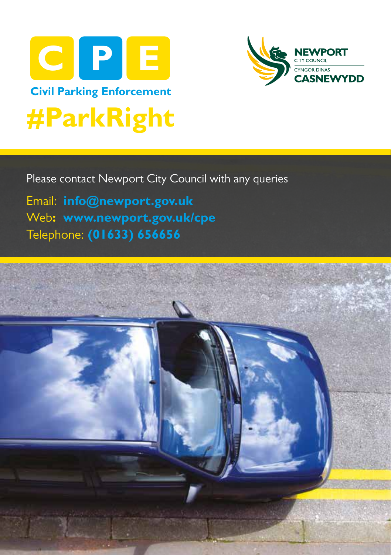



Please contact Newport City Council with any queries

**G P S** Telephone: **(01633) 656656**Email: **info@newport.gov.uk** Web**: www.newport.gov.uk/cpe**

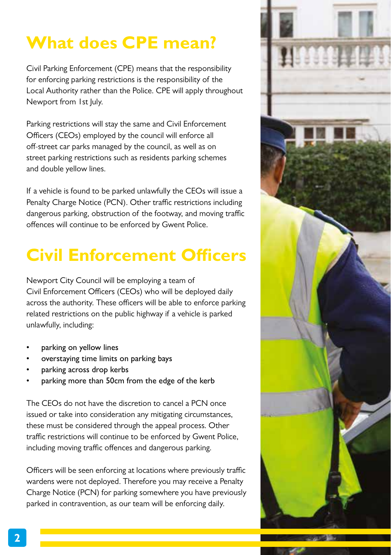# **What does CPE mean?**

Civil Parking Enforcement (CPE) means that the responsibility for enforcing parking restrictions is the responsibility of the Local Authority rather than the Police. CPE will apply throughout Newport from 1st July.

Parking restrictions will stay the same and Civil Enforcement Officers (CEOs) employed by the council will enforce all off-street car parks managed by the council, as well as on street parking restrictions such as residents parking schemes and double yellow lines.

If a vehicle is found to be parked unlawfully the CEOs will issue a Penalty Charge Notice (PCN). Other traffic restrictions including dangerous parking, obstruction of the footway, and moving traffic offences will continue to be enforced by Gwent Police.

# **Civil Enforcement Officers**

Newport City Council will be employing a team of Civil Enforcement Officers (CEOs) who will be deployed daily across the authority. These officers will be able to enforce parking related restrictions on the public highway if a vehicle is parked unlawfully, including:

- parking on yellow lines
- overstaying time limits on parking bays
- parking across drop kerbs
- parking more than 50cm from the edge of the kerb

The CEOs do not have the discretion to cancel a PCN once issued or take into consideration any mitigating circumstances, these must be considered through the appeal process. Other traffic restrictions will continue to be enforced by Gwent Police, including moving traffic offences and dangerous parking.

Officers will be seen enforcing at locations where previously traffic wardens were not deployed. Therefore you may receive a Penalty Charge Notice (PCN) for parking somewhere you have previously parked in contravention, as our team will be enforcing daily.



**2**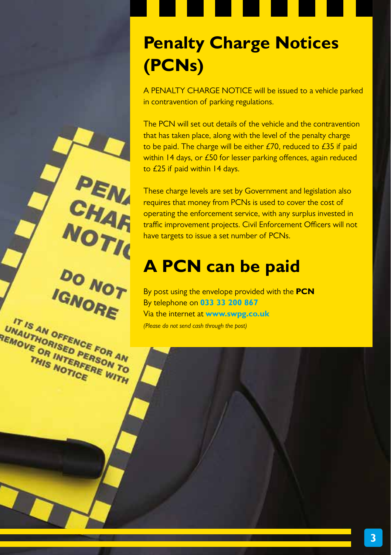# **Penalty Charge Notices (PCNs)**

A PENALTY CHARGE NOTICE will be issued to a vehicle parked in contravention of parking regulations.

The PCN will set out details of the vehicle and the contravention that has taken place, along with the level of the penalty charge to be paid. The charge will be either £70, reduced to £35 if paid within 14 days, or £50 for lesser parking offences, again reduced to £25 if paid within 14 days.

These charge levels are set by Government and legislation also requires that money from PCNs is used to cover the cost of operating the enforcement service, with any surplus invested in traffic improvement projects. Civil Enforcement Officers will not have targets to issue a set number of PCNs.

#### **A PCN can be paid**

PEN

CHAR

**NOTIC** 

**DO NOT** 

IGNORE

IT IS AN OFFENCE FOR AN **IT IS AN OFFENCE FOR AN UNAUTHORISED PERSON TO THIS NOTICE RE WITH** 

By post using the envelope provided with the **PCN** By telephone on **033 33 200 867**  Via the internet at **www.swpg.co.uk** *(Please do not send cash through the post)*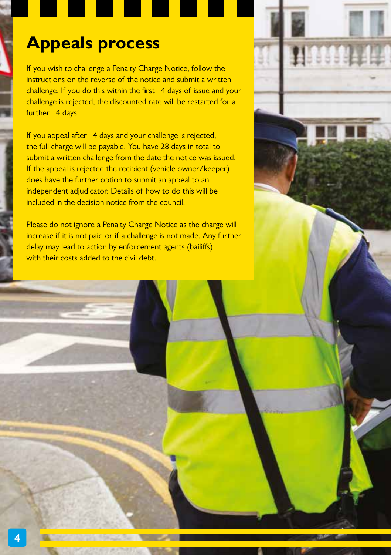#### **Appeals process**

If you wish to challenge a Penalty Charge Notice, follow the instructions on the reverse of the notice and submit a written challenge. If you do this within the first 14 days of issue and your challenge is rejected, the discounted rate will be restarted for a further 14 days.

If you appeal after 14 days and your challenge is rejected, the full charge will be payable. You have 28 days in total to submit a written challenge from the date the notice was issued. If the appeal is rejected the recipient (vehicle owner/keeper) does have the further option to submit an appeal to an independent adjudicator. Details of how to do this will be included in the decision notice from the council.

Please do not ignore a Penalty Charge Notice as the charge will increase if it is not paid or if a challenge is not made. Any further delay may lead to action by enforcement agents (bailiffs), with their costs added to the civil debt.

500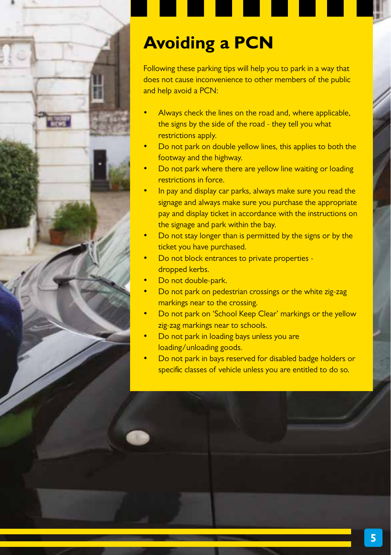

## **Avoiding a PCN**

Following these parking tips will help you to park in a way that does not cause inconvenience to other members of the public and help avoid a PCN:

- Always check the lines on the road and, where applicable, the signs by the side of the road - they tell you what restrictions apply.
- Do not park on double yellow lines, this applies to both the footway and the highway.
- Do not park where there are yellow line waiting or loading restrictions in force.
- In pay and display car parks, always make sure you read the signage and always make sure you purchase the appropriate pay and display ticket in accordance with the instructions on the signage and park within the bay.
- Do not stay longer than is permitted by the signs or by the ticket you have purchased.
- Do not block entrances to private properties dropped kerbs.
- Do not double-park.
- Do not park on pedestrian crossings or the white zig-zag markings near to the crossing.
- Do not park on 'School Keep Clear' markings or the yellow zig-zag markings near to schools.
- Do not park in loading bays unless you are loading/unloading goods.
- Do not park in bays reserved for disabled badge holders or specific classes of vehicle unless you are entitled to do so.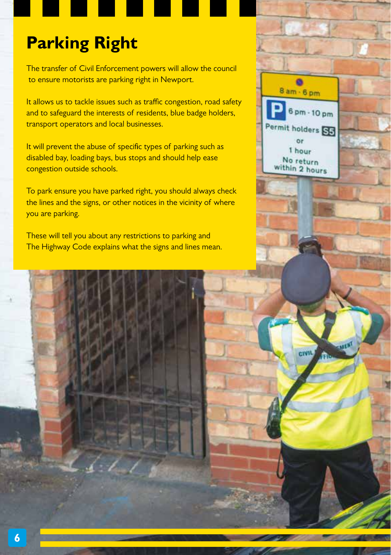## **Parking Right**

The transfer of Civil Enforcement powers will allow the council to ensure motorists are parking right in Newport.

It allows us to tackle issues such as traffic congestion, road safety and to safeguard the interests of residents, blue badge holders, transport operators and local businesses.

It will prevent the abuse of specific types of parking such as disabled bay, loading bays, bus stops and should help ease congestion outside schools.

To park ensure you have parked right, you should always check the lines and the signs, or other notices in the vicinity of where you are parking.

These will tell you about any restrictions to parking and The Highway Code explains what the signs and lines mean.



civit.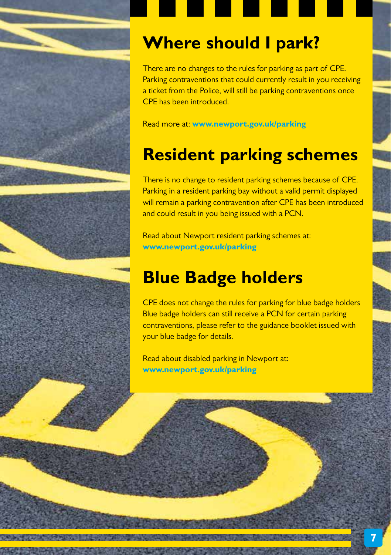





There are no changes to the rules for parking as part of CPE. Parking contraventions that could currently result in you receiving a ticket from the Police, will still be parking contraventions once CPE has been introduced.

Read more at: **www.newport.gov.uk/parking**

#### **Resident parking schemes**

There is no change to resident parking schemes because of CPE. Parking in a resident parking bay without a valid permit displayed will remain a parking contravention after CPE has been introduced and could result in you being issued with a PCN.

Read about Newport resident parking schemes at: **www.newport.gov.uk/parking**

#### **Blue Badge holders**

CPE does not change the rules for parking for blue badge holders Blue badge holders can still receive a PCN for certain parking contraventions, please refer to the guidance booklet issued with your blue badge for details.

Read about disabled parking in Newport at: **www.newport.gov.uk/parking**